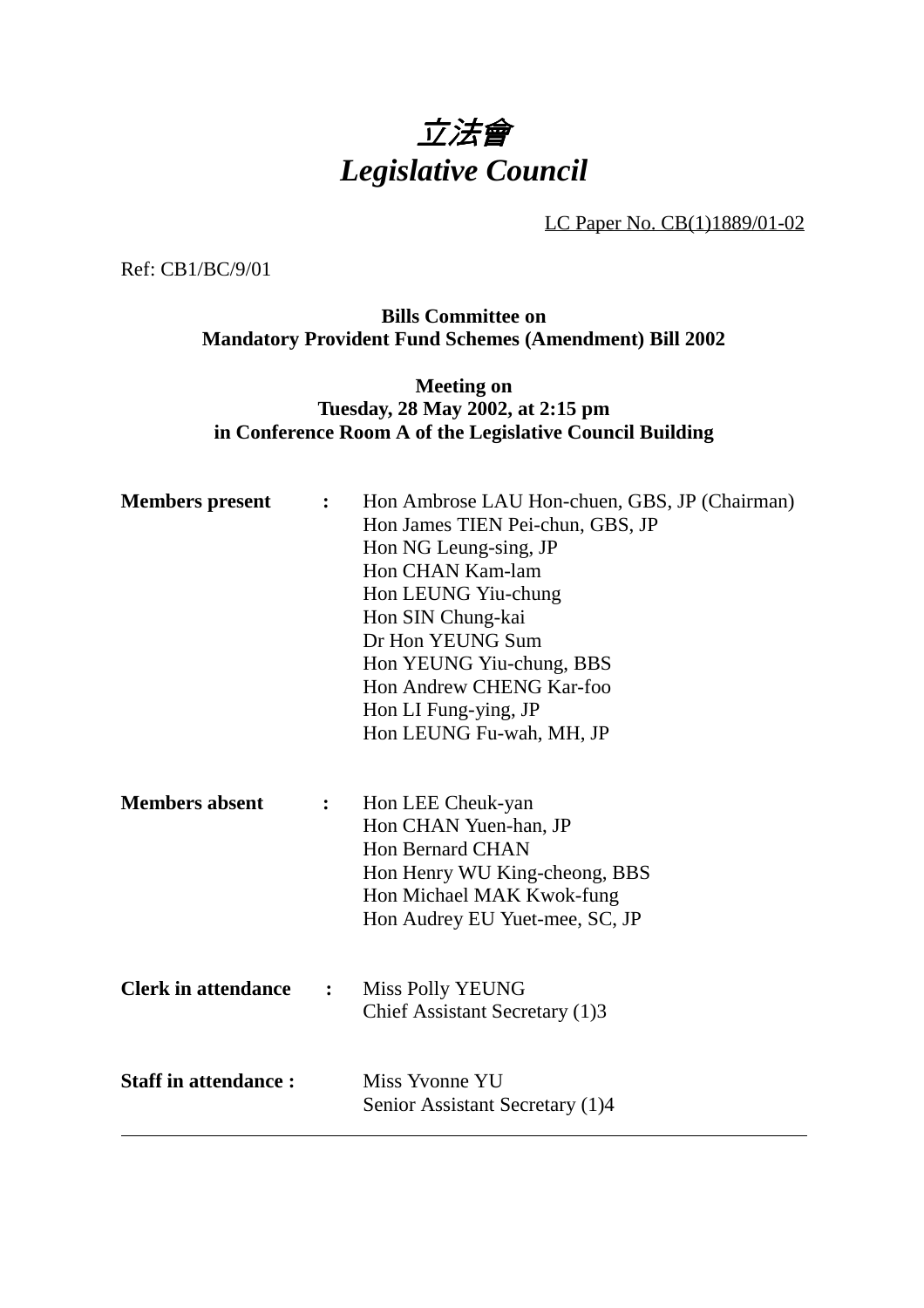

LC Paper No. CB(1)1889/01-02

Ref: CB1/BC/9/01

**Bills Committee on Mandatory Provident Fund Schemes (Amendment) Bill 2002**

**Meeting on Tuesday, 28 May 2002, at 2:15 pm in Conference Room A of the Legislative Council Building**

| <b>Members</b> present      | $\ddot{\cdot}$ | Hon Ambrose LAU Hon-chuen, GBS, JP (Chairman)<br>Hon James TIEN Pei-chun, GBS, JP<br>Hon NG Leung-sing, JP<br>Hon CHAN Kam-lam<br>Hon LEUNG Yiu-chung<br>Hon SIN Chung-kai<br>Dr Hon YEUNG Sum |
|-----------------------------|----------------|------------------------------------------------------------------------------------------------------------------------------------------------------------------------------------------------|
|                             |                | Hon YEUNG Yiu-chung, BBS<br>Hon Andrew CHENG Kar-foo<br>Hon LI Fung-ying, JP<br>Hon LEUNG Fu-wah, MH, JP                                                                                       |
| <b>Members absent</b>       | $\ddot{\cdot}$ | Hon LEE Cheuk-yan<br>Hon CHAN Yuen-han, JP<br><b>Hon Bernard CHAN</b><br>Hon Henry WU King-cheong, BBS<br>Hon Michael MAK Kwok-fung<br>Hon Audrey EU Yuet-mee, SC, JP                          |
| <b>Clerk in attendance</b>  | $\ddot{\cdot}$ | Miss Polly YEUNG<br>Chief Assistant Secretary (1)3                                                                                                                                             |
| <b>Staff in attendance:</b> |                | Miss Yvonne YU<br>Senior Assistant Secretary (1)4                                                                                                                                              |